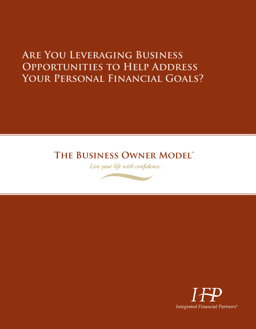# **Are You Leveraging Business Opportunities to Help Address Your Personal Financial Goals?**

## **The Business Owner Model™**

*Live your life with confidence.*